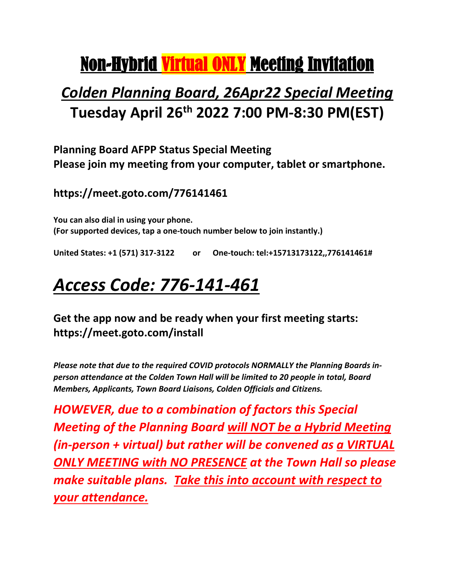# Non-Hybrid Virtual ONLY Meeting Invitation

### *Colden Planning Board, 26Apr22 Special Meeting* **Tuesday April 26th 2022 7:00 PM-8:30 PM(EST)**

**Planning Board AFPP Status Special Meeting Please join my meeting from your computer, tablet or smartphone.**

**https://meet.goto.com/776141461**

**You can also dial in using your phone. (For supported devices, tap a one-touch number below to join instantly.)**

**United States: +1 (571) 317-3122 or One-touch: tel:+15713173122,,776141461#**

## *Access Code: 776-141-461*

**Get the app now and be ready when your first meeting starts: https://meet.goto.com/install**

*Please note that due to the required COVID protocols NORMALLY the Planning Boards inperson attendance at the Colden Town Hall will be limited to 20 people in total, Board Members, Applicants, Town Board Liaisons, Colden Officials and Citizens.* 

*HOWEVER, due to a combination of factors this Special Meeting of the Planning Board will NOT be a Hybrid Meeting (in-person + virtual) but rather will be convened as a VIRTUAL ONLY MEETING with NO PRESENCE at the Town Hall so please make suitable plans. Take this into account with respect to your attendance.*